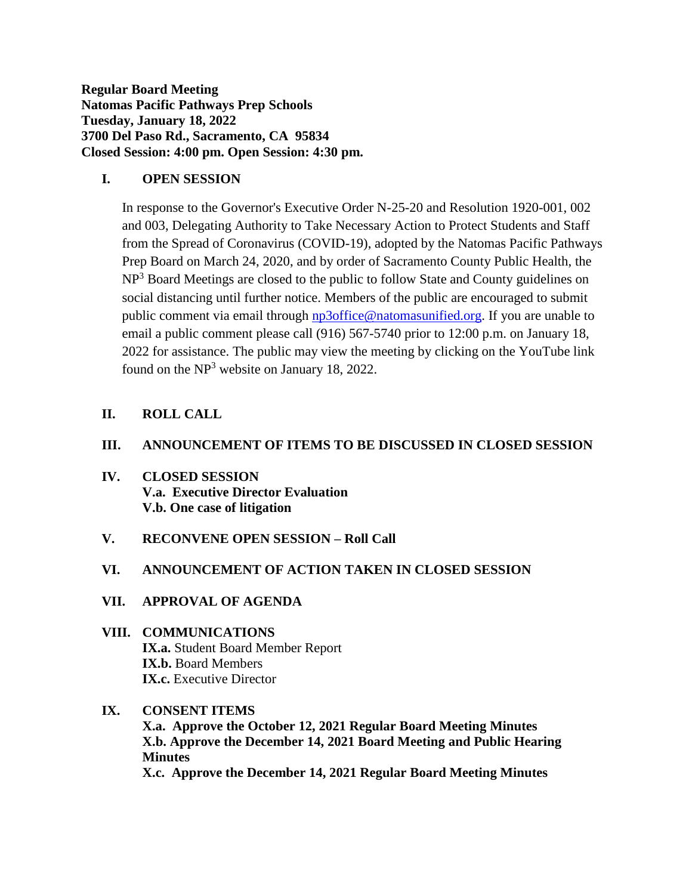**Regular Board Meeting Natomas Pacific Pathways Prep Schools Tuesday, January 18, 2022 3700 Del Paso Rd., Sacramento, CA 95834 Closed Session: 4:00 pm. Open Session: 4:30 pm.**

## **I. OPEN SESSION**

In response to the Governor's Executive Order N-25-20 and Resolution 1920-001, 002 and 003, Delegating Authority to Take Necessary Action to Protect Students and Staff from the Spread of Coronavirus (COVID-19), adopted by the Natomas Pacific Pathways Prep Board on March 24, 2020, and by order of Sacramento County Public Health, the NP<sup>3</sup> Board Meetings are closed to the public to follow State and County guidelines on social distancing until further notice. Members of the public are encouraged to submit public comment via email through [np3office@natomasunified.org.](mailto:np3office@natomasunified.org) If you are unable to email a public comment please call (916) 567-5740 prior to 12:00 p.m. on January 18, 2022 for assistance. The public may view the meeting by clicking on the YouTube link found on the NP<sup>3</sup> website on January 18, 2022.

# **II. ROLL CALL**

### **III. ANNOUNCEMENT OF ITEMS TO BE DISCUSSED IN CLOSED SESSION**

- **IV. CLOSED SESSION V.a. Executive Director Evaluation V.b. One case of litigation**
- **V. RECONVENE OPEN SESSION – Roll Call**

#### **VI. ANNOUNCEMENT OF ACTION TAKEN IN CLOSED SESSION**

- **VII. APPROVAL OF AGENDA**
- **VIII. COMMUNICATIONS IX.a.** Student Board Member Report **IX.b.** Board Members **IX.c.** Executive Director

## **IX. CONSENT ITEMS**

**X.a. Approve the October 12, 2021 Regular Board Meeting Minutes X.b. Approve the December 14, 2021 Board Meeting and Public Hearing Minutes X.c. Approve the December 14, 2021 Regular Board Meeting Minutes**